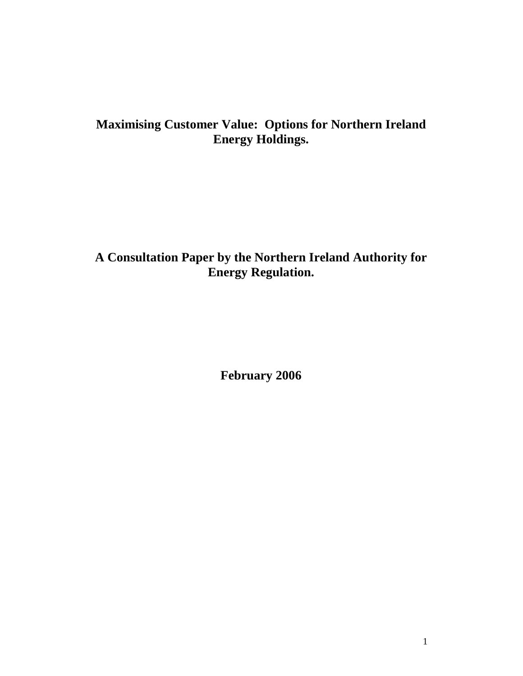# **Maximising Customer Value: Options for Northern Ireland Energy Holdings.**

## **A Consultation Paper by the Northern Ireland Authority for Energy Regulation.**

**February 2006**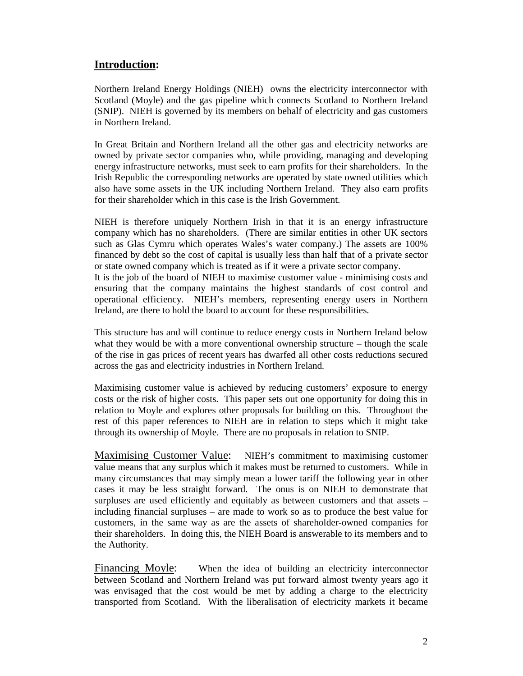### **Introduction:**

Northern Ireland Energy Holdings (NIEH) owns the electricity interconnector with Scotland (Moyle) and the gas pipeline which connects Scotland to Northern Ireland (SNIP). NIEH is governed by its members on behalf of electricity and gas customers in Northern Ireland.

In Great Britain and Northern Ireland all the other gas and electricity networks are owned by private sector companies who, while providing, managing and developing energy infrastructure networks, must seek to earn profits for their shareholders. In the Irish Republic the corresponding networks are operated by state owned utilities which also have some assets in the UK including Northern Ireland. They also earn profits for their shareholder which in this case is the Irish Government.

NIEH is therefore uniquely Northern Irish in that it is an energy infrastructure company which has no shareholders. (There are similar entities in other UK sectors such as Glas Cymru which operates Wales's water company.) The assets are 100% financed by debt so the cost of capital is usually less than half that of a private sector or state owned company which is treated as if it were a private sector company.

It is the job of the board of NIEH to maximise customer value - minimising costs and ensuring that the company maintains the highest standards of cost control and operational efficiency. NIEH's members, representing energy users in Northern Ireland, are there to hold the board to account for these responsibilities.

This structure has and will continue to reduce energy costs in Northern Ireland below what they would be with a more conventional ownership structure – though the scale of the rise in gas prices of recent years has dwarfed all other costs reductions secured across the gas and electricity industries in Northern Ireland.

Maximising customer value is achieved by reducing customers' exposure to energy costs or the risk of higher costs. This paper sets out one opportunity for doing this in relation to Moyle and explores other proposals for building on this. Throughout the rest of this paper references to NIEH are in relation to steps which it might take through its ownership of Moyle. There are no proposals in relation to SNIP.

Maximising Customer Value: NIEH's commitment to maximising customer value means that any surplus which it makes must be returned to customers. While in many circumstances that may simply mean a lower tariff the following year in other cases it may be less straight forward. The onus is on NIEH to demonstrate that surpluses are used efficiently and equitably as between customers and that assets – including financial surpluses – are made to work so as to produce the best value for customers, in the same way as are the assets of shareholder-owned companies for their shareholders. In doing this, the NIEH Board is answerable to its members and to the Authority.

Financing Moyle: When the idea of building an electricity interconnector between Scotland and Northern Ireland was put forward almost twenty years ago it was envisaged that the cost would be met by adding a charge to the electricity transported from Scotland. With the liberalisation of electricity markets it became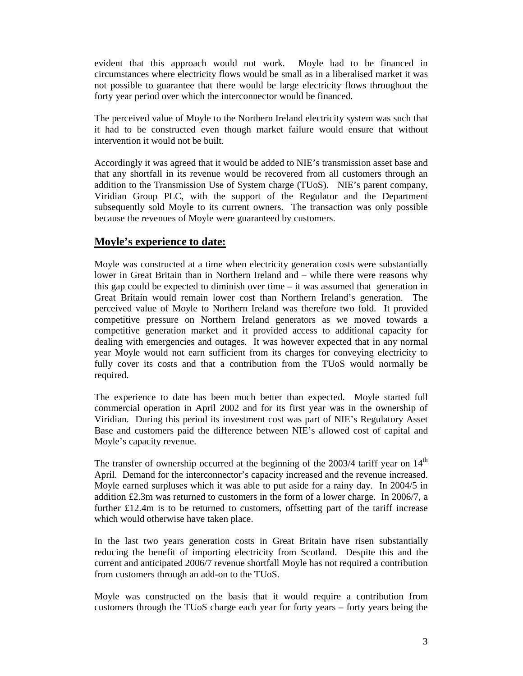evident that this approach would not work. Moyle had to be financed in circumstances where electricity flows would be small as in a liberalised market it was not possible to guarantee that there would be large electricity flows throughout the forty year period over which the interconnector would be financed.

The perceived value of Moyle to the Northern Ireland electricity system was such that it had to be constructed even though market failure would ensure that without intervention it would not be built.

Accordingly it was agreed that it would be added to NIE's transmission asset base and that any shortfall in its revenue would be recovered from all customers through an addition to the Transmission Use of System charge (TUoS). NIE's parent company, Viridian Group PLC, with the support of the Regulator and the Department subsequently sold Moyle to its current owners. The transaction was only possible because the revenues of Moyle were guaranteed by customers.

#### **Moyle's experience to date:**

Moyle was constructed at a time when electricity generation costs were substantially lower in Great Britain than in Northern Ireland and – while there were reasons why this gap could be expected to diminish over time  $-$  it was assumed that generation in Great Britain would remain lower cost than Northern Ireland's generation. The perceived value of Moyle to Northern Ireland was therefore two fold. It provided competitive pressure on Northern Ireland generators as we moved towards a competitive generation market and it provided access to additional capacity for dealing with emergencies and outages. It was however expected that in any normal year Moyle would not earn sufficient from its charges for conveying electricity to fully cover its costs and that a contribution from the TUoS would normally be required.

The experience to date has been much better than expected. Moyle started full commercial operation in April 2002 and for its first year was in the ownership of Viridian. During this period its investment cost was part of NIE's Regulatory Asset Base and customers paid the difference between NIE's allowed cost of capital and Moyle's capacity revenue.

The transfer of ownership occurred at the beginning of the  $2003/4$  tariff year on  $14<sup>th</sup>$ April. Demand for the interconnector's capacity increased and the revenue increased. Moyle earned surpluses which it was able to put aside for a rainy day. In 2004/5 in addition £2.3m was returned to customers in the form of a lower charge. In 2006/7, a further £12.4m is to be returned to customers, offsetting part of the tariff increase which would otherwise have taken place.

In the last two years generation costs in Great Britain have risen substantially reducing the benefit of importing electricity from Scotland. Despite this and the current and anticipated 2006/7 revenue shortfall Moyle has not required a contribution from customers through an add-on to the TUoS.

Moyle was constructed on the basis that it would require a contribution from customers through the TUoS charge each year for forty years – forty years being the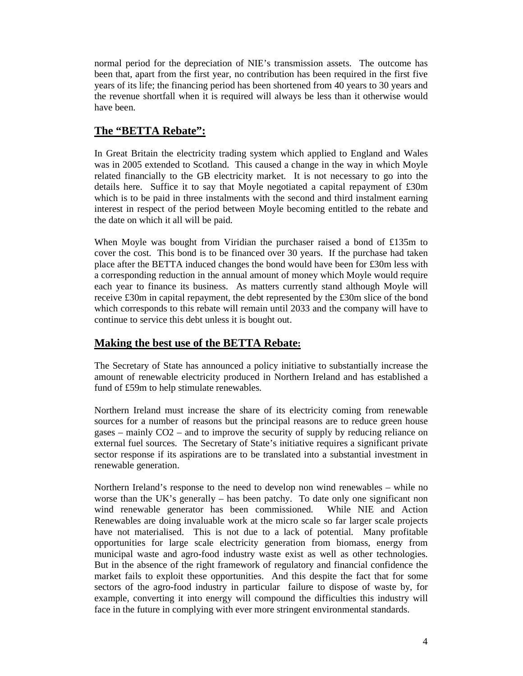normal period for the depreciation of NIE's transmission assets. The outcome has been that, apart from the first year, no contribution has been required in the first five years of its life; the financing period has been shortened from 40 years to 30 years and the revenue shortfall when it is required will always be less than it otherwise would have been.

## **The "BETTA Rebate":**

In Great Britain the electricity trading system which applied to England and Wales was in 2005 extended to Scotland. This caused a change in the way in which Moyle related financially to the GB electricity market. It is not necessary to go into the details here. Suffice it to say that Moyle negotiated a capital repayment of £30m which is to be paid in three instalments with the second and third instalment earning interest in respect of the period between Moyle becoming entitled to the rebate and the date on which it all will be paid.

When Moyle was bought from Viridian the purchaser raised a bond of £135m to cover the cost. This bond is to be financed over 30 years. If the purchase had taken place after the BETTA induced changes the bond would have been for £30m less with a corresponding reduction in the annual amount of money which Moyle would require each year to finance its business. As matters currently stand although Moyle will receive £30m in capital repayment, the debt represented by the £30m slice of the bond which corresponds to this rebate will remain until 2033 and the company will have to continue to service this debt unless it is bought out.

## **Making the best use of the BETTA Rebate:**

The Secretary of State has announced a policy initiative to substantially increase the amount of renewable electricity produced in Northern Ireland and has established a fund of £59m to help stimulate renewables.

Northern Ireland must increase the share of its electricity coming from renewable sources for a number of reasons but the principal reasons are to reduce green house gases – mainly CO2 – and to improve the security of supply by reducing reliance on external fuel sources. The Secretary of State's initiative requires a significant private sector response if its aspirations are to be translated into a substantial investment in renewable generation.

Northern Ireland's response to the need to develop non wind renewables – while no worse than the UK's generally – has been patchy. To date only one significant non wind renewable generator has been commissioned. While NIE and Action Renewables are doing invaluable work at the micro scale so far larger scale projects have not materialised. This is not due to a lack of potential. Many profitable opportunities for large scale electricity generation from biomass, energy from municipal waste and agro-food industry waste exist as well as other technologies. But in the absence of the right framework of regulatory and financial confidence the market fails to exploit these opportunities. And this despite the fact that for some sectors of the agro-food industry in particular failure to dispose of waste by, for example, converting it into energy will compound the difficulties this industry will face in the future in complying with ever more stringent environmental standards.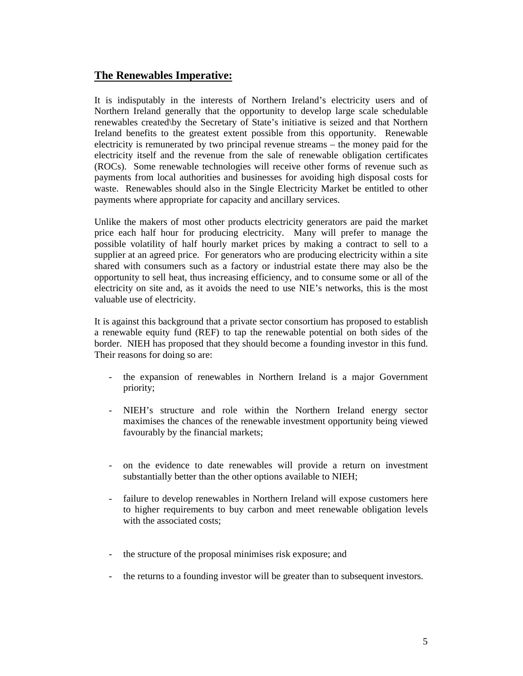### **The Renewables Imperative:**

It is indisputably in the interests of Northern Ireland's electricity users and of Northern Ireland generally that the opportunity to develop large scale schedulable renewables created\by the Secretary of State's initiative is seized and that Northern Ireland benefits to the greatest extent possible from this opportunity. Renewable electricity is remunerated by two principal revenue streams – the money paid for the electricity itself and the revenue from the sale of renewable obligation certificates (ROCs). Some renewable technologies will receive other forms of revenue such as payments from local authorities and businesses for avoiding high disposal costs for waste. Renewables should also in the Single Electricity Market be entitled to other payments where appropriate for capacity and ancillary services.

Unlike the makers of most other products electricity generators are paid the market price each half hour for producing electricity. Many will prefer to manage the possible volatility of half hourly market prices by making a contract to sell to a supplier at an agreed price. For generators who are producing electricity within a site shared with consumers such as a factory or industrial estate there may also be the opportunity to sell heat, thus increasing efficiency, and to consume some or all of the electricity on site and, as it avoids the need to use NIE's networks, this is the most valuable use of electricity.

It is against this background that a private sector consortium has proposed to establish a renewable equity fund (REF) to tap the renewable potential on both sides of the border. NIEH has proposed that they should become a founding investor in this fund. Their reasons for doing so are:

- the expansion of renewables in Northern Ireland is a major Government priority;
- NIEH's structure and role within the Northern Ireland energy sector maximises the chances of the renewable investment opportunity being viewed favourably by the financial markets;
- on the evidence to date renewables will provide a return on investment substantially better than the other options available to NIEH;
- failure to develop renewables in Northern Ireland will expose customers here to higher requirements to buy carbon and meet renewable obligation levels with the associated costs;
- the structure of the proposal minimises risk exposure; and
- the returns to a founding investor will be greater than to subsequent investors.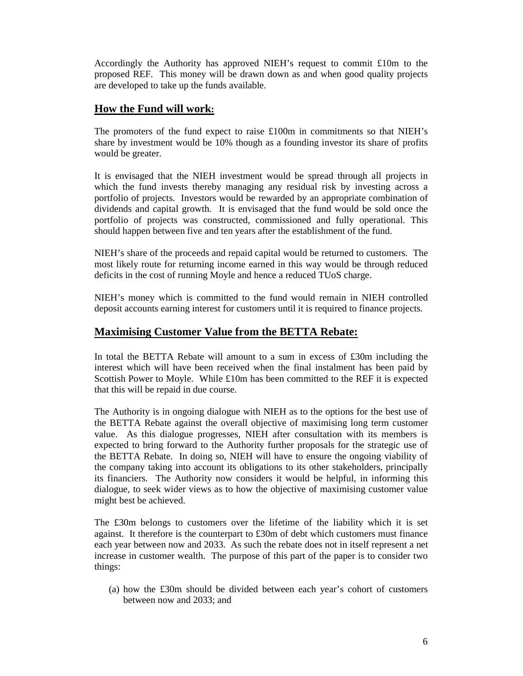Accordingly the Authority has approved NIEH's request to commit £10m to the proposed REF. This money will be drawn down as and when good quality projects are developed to take up the funds available.

### **How the Fund will work:**

The promoters of the fund expect to raise £100m in commitments so that NIEH's share by investment would be 10% though as a founding investor its share of profits would be greater.

It is envisaged that the NIEH investment would be spread through all projects in which the fund invests thereby managing any residual risk by investing across a portfolio of projects. Investors would be rewarded by an appropriate combination of dividends and capital growth. It is envisaged that the fund would be sold once the portfolio of projects was constructed, commissioned and fully operational. This should happen between five and ten years after the establishment of the fund.

NIEH's share of the proceeds and repaid capital would be returned to customers. The most likely route for returning income earned in this way would be through reduced deficits in the cost of running Moyle and hence a reduced TUoS charge.

NIEH's money which is committed to the fund would remain in NIEH controlled deposit accounts earning interest for customers until it is required to finance projects.

#### **Maximising Customer Value from the BETTA Rebate:**

In total the BETTA Rebate will amount to a sum in excess of £30m including the interest which will have been received when the final instalment has been paid by Scottish Power to Moyle. While £10m has been committed to the REF it is expected that this will be repaid in due course.

The Authority is in ongoing dialogue with NIEH as to the options for the best use of the BETTA Rebate against the overall objective of maximising long term customer value. As this dialogue progresses, NIEH after consultation with its members is expected to bring forward to the Authority further proposals for the strategic use of the BETTA Rebate. In doing so, NIEH will have to ensure the ongoing viability of the company taking into account its obligations to its other stakeholders, principally its financiers. The Authority now considers it would be helpful, in informing this dialogue, to seek wider views as to how the objective of maximising customer value might best be achieved.

The £30m belongs to customers over the lifetime of the liability which it is set against. It therefore is the counterpart to £30m of debt which customers must finance each year between now and 2033. As such the rebate does not in itself represent a net increase in customer wealth. The purpose of this part of the paper is to consider two things:

(a) how the £30m should be divided between each year's cohort of customers between now and 2033; and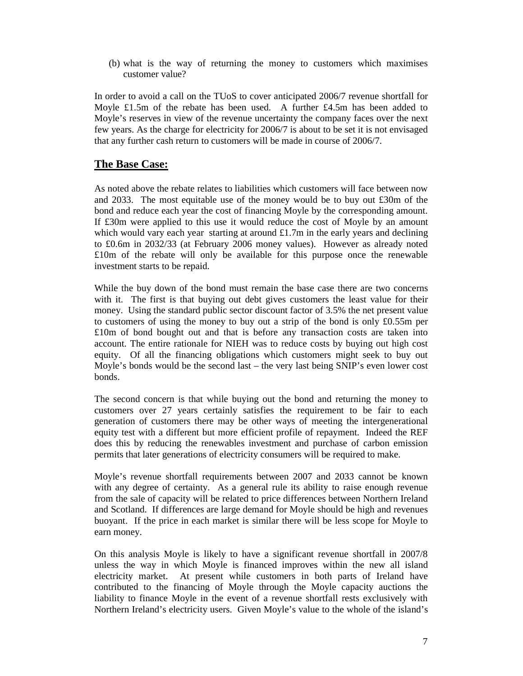(b) what is the way of returning the money to customers which maximises customer value?

In order to avoid a call on the TUoS to cover anticipated 2006/7 revenue shortfall for Moyle £1.5m of the rebate has been used. A further £4.5m has been added to Moyle's reserves in view of the revenue uncertainty the company faces over the next few years. As the charge for electricity for 2006/7 is about to be set it is not envisaged that any further cash return to customers will be made in course of 2006/7.

#### **The Base Case:**

As noted above the rebate relates to liabilities which customers will face between now and 2033. The most equitable use of the money would be to buy out £30m of the bond and reduce each year the cost of financing Moyle by the corresponding amount. If £30m were applied to this use it would reduce the cost of Moyle by an amount which would vary each year starting at around £1.7m in the early years and declining to £0.6m in 2032/33 (at February 2006 money values). However as already noted £10m of the rebate will only be available for this purpose once the renewable investment starts to be repaid.

While the buy down of the bond must remain the base case there are two concerns with it. The first is that buying out debt gives customers the least value for their money. Using the standard public sector discount factor of 3.5% the net present value to customers of using the money to buy out a strip of the bond is only £0.55m per £10m of bond bought out and that is before any transaction costs are taken into account. The entire rationale for NIEH was to reduce costs by buying out high cost equity. Of all the financing obligations which customers might seek to buy out Moyle's bonds would be the second last – the very last being SNIP's even lower cost bonds.

The second concern is that while buying out the bond and returning the money to customers over 27 years certainly satisfies the requirement to be fair to each generation of customers there may be other ways of meeting the intergenerational equity test with a different but more efficient profile of repayment. Indeed the REF does this by reducing the renewables investment and purchase of carbon emission permits that later generations of electricity consumers will be required to make.

Moyle's revenue shortfall requirements between 2007 and 2033 cannot be known with any degree of certainty. As a general rule its ability to raise enough revenue from the sale of capacity will be related to price differences between Northern Ireland and Scotland. If differences are large demand for Moyle should be high and revenues buoyant. If the price in each market is similar there will be less scope for Moyle to earn money.

On this analysis Moyle is likely to have a significant revenue shortfall in 2007/8 unless the way in which Moyle is financed improves within the new all island electricity market. At present while customers in both parts of Ireland have contributed to the financing of Moyle through the Moyle capacity auctions the liability to finance Moyle in the event of a revenue shortfall rests exclusively with Northern Ireland's electricity users. Given Moyle's value to the whole of the island's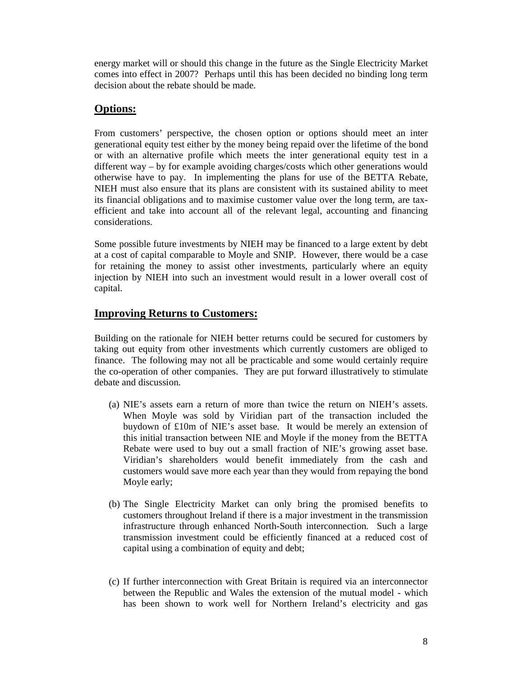energy market will or should this change in the future as the Single Electricity Market comes into effect in 2007? Perhaps until this has been decided no binding long term decision about the rebate should be made.

## **Options:**

From customers' perspective, the chosen option or options should meet an inter generational equity test either by the money being repaid over the lifetime of the bond or with an alternative profile which meets the inter generational equity test in a different way – by for example avoiding charges/costs which other generations would otherwise have to pay. In implementing the plans for use of the BETTA Rebate, NIEH must also ensure that its plans are consistent with its sustained ability to meet its financial obligations and to maximise customer value over the long term, are taxefficient and take into account all of the relevant legal, accounting and financing considerations.

Some possible future investments by NIEH may be financed to a large extent by debt at a cost of capital comparable to Moyle and SNIP. However, there would be a case for retaining the money to assist other investments, particularly where an equity injection by NIEH into such an investment would result in a lower overall cost of capital.

#### **Improving Returns to Customers:**

Building on the rationale for NIEH better returns could be secured for customers by taking out equity from other investments which currently customers are obliged to finance. The following may not all be practicable and some would certainly require the co-operation of other companies. They are put forward illustratively to stimulate debate and discussion.

- (a) NIE's assets earn a return of more than twice the return on NIEH's assets. When Moyle was sold by Viridian part of the transaction included the buydown of £10m of NIE's asset base. It would be merely an extension of this initial transaction between NIE and Moyle if the money from the BETTA Rebate were used to buy out a small fraction of NIE's growing asset base. Viridian's shareholders would benefit immediately from the cash and customers would save more each year than they would from repaying the bond Moyle early;
- (b) The Single Electricity Market can only bring the promised benefits to customers throughout Ireland if there is a major investment in the transmission infrastructure through enhanced North-South interconnection. Such a large transmission investment could be efficiently financed at a reduced cost of capital using a combination of equity and debt;
- (c) If further interconnection with Great Britain is required via an interconnector between the Republic and Wales the extension of the mutual model - which has been shown to work well for Northern Ireland's electricity and gas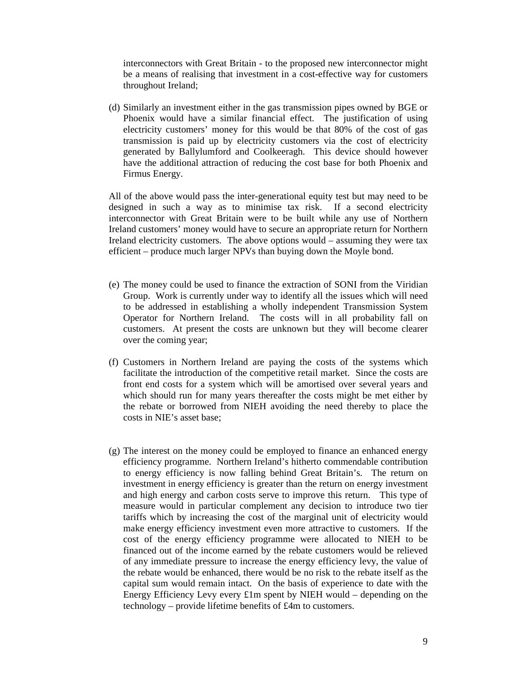interconnectors with Great Britain - to the proposed new interconnector might be a means of realising that investment in a cost-effective way for customers throughout Ireland;

(d) Similarly an investment either in the gas transmission pipes owned by BGE or Phoenix would have a similar financial effect. The justification of using electricity customers' money for this would be that 80% of the cost of gas transmission is paid up by electricity customers via the cost of electricity generated by Ballylumford and Coolkeeragh. This device should however have the additional attraction of reducing the cost base for both Phoenix and Firmus Energy.

All of the above would pass the inter-generational equity test but may need to be designed in such a way as to minimise tax risk. If a second electricity interconnector with Great Britain were to be built while any use of Northern Ireland customers' money would have to secure an appropriate return for Northern Ireland electricity customers. The above options would – assuming they were tax efficient – produce much larger NPVs than buying down the Moyle bond.

- (e) The money could be used to finance the extraction of SONI from the Viridian Group. Work is currently under way to identify all the issues which will need to be addressed in establishing a wholly independent Transmission System Operator for Northern Ireland. The costs will in all probability fall on customers. At present the costs are unknown but they will become clearer over the coming year;
- (f) Customers in Northern Ireland are paying the costs of the systems which facilitate the introduction of the competitive retail market. Since the costs are front end costs for a system which will be amortised over several years and which should run for many years thereafter the costs might be met either by the rebate or borrowed from NIEH avoiding the need thereby to place the costs in NIE's asset base;
- (g) The interest on the money could be employed to finance an enhanced energy efficiency programme. Northern Ireland's hitherto commendable contribution to energy efficiency is now falling behind Great Britain's. The return on investment in energy efficiency is greater than the return on energy investment and high energy and carbon costs serve to improve this return. This type of measure would in particular complement any decision to introduce two tier tariffs which by increasing the cost of the marginal unit of electricity would make energy efficiency investment even more attractive to customers. If the cost of the energy efficiency programme were allocated to NIEH to be financed out of the income earned by the rebate customers would be relieved of any immediate pressure to increase the energy efficiency levy, the value of the rebate would be enhanced, there would be no risk to the rebate itself as the capital sum would remain intact. On the basis of experience to date with the Energy Efficiency Levy every  $£1m$  spent by NIEH would – depending on the technology – provide lifetime benefits of £4m to customers.